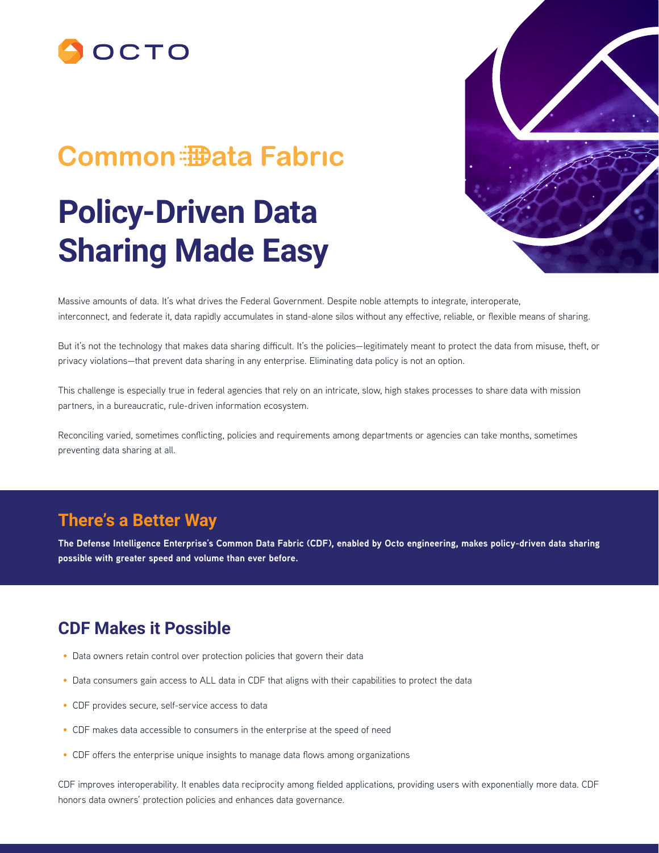

## **Common 拇ata Fabric**

# **Policy-Driven Data Sharing Made Easy**



Massive amounts of data. It's what drives the Federal Government. Despite noble attempts to integrate, interoperate, interconnect, and federate it, data rapidly accumulates in stand-alone silos without any effective, reliable, or flexible means of sharing.

But it's not the technology that makes data sharing difficult. It's the policies—legitimately meant to protect the data from misuse, theft, or privacy violations—that prevent data sharing in any enterprise. Eliminating data policy is not an option.

This challenge is especially true in federal agencies that rely on an intricate, slow, high stakes processes to share data with mission partners, in a bureaucratic, rule-driven information ecosystem.

Reconciling varied, sometimes conflicting, policies and requirements among departments or agencies can take months, sometimes preventing data sharing at all.

#### **There's a Better Way**

**The Defense Intelligence Enterprise's Common Data Fabric (CDF), enabled by Octo engineering, makes policy-driven data sharing possible with greater speed and volume than ever before.**

#### **CDF Makes it Possible**

- Data owners retain control over protection policies that govern their data
- Data consumers gain access to ALL data in CDF that aligns with their capabilities to protect the data
- CDF provides secure, self-service access to data
- CDF makes data accessible to consumers in the enterprise at the speed of need
- CDF offers the enterprise unique insights to manage data flows among organizations

CDF improves interoperability. It enables data reciprocity among fielded applications, providing users with exponentially more data. CDF honors data owners' protection policies and enhances data governance.